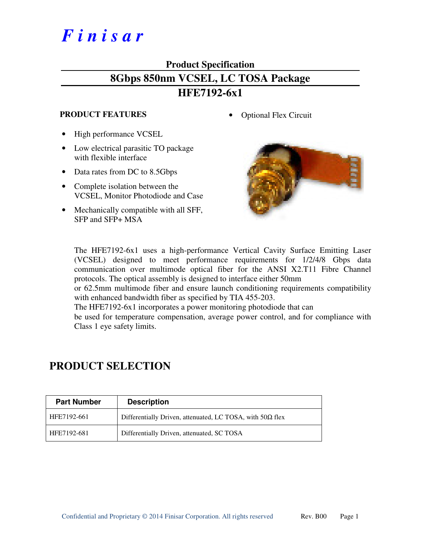# *F i n i s a r*

### **Product Specification 8Gbps 850nm VCSEL, LC TOSA Package HFE7192-6x1**

#### **PRODUCT FEATURES**

- High performance VCSEL
- Low electrical parasitic TO package with flexible interface
- Data rates from DC to 8.5Gbps
- Complete isolation between the VCSEL, Monitor Photodiode and Case
- Mechanically compatible with all SFF, SFP and SFP+ MSA

• Optional Flex Circuit



The HFE7192-6x1 uses a high-performance Vertical Cavity Surface Emitting Laser (VCSEL) designed to meet performance requirements for 1/2/4/8 Gbps data communication over multimode optical fiber for the ANSI X2.T11 Fibre Channel protocols. The optical assembly is designed to interface either 50mm

or 62.5mm multimode fiber and ensure launch conditioning requirements compatibility with enhanced bandwidth fiber as specified by TIA 455-203.

The HFE7192-6x1 incorporates a power monitoring photodiode that can

be used for temperature compensation, average power control, and for compliance with Class 1 eye safety limits.

| <b>Part Number</b> | <b>Description</b>                                               |
|--------------------|------------------------------------------------------------------|
| HFE7192-661        | Differentially Driven, attenuated, LC TOSA, with $50\Omega$ flex |
| HFE7192-681        | Differentially Driven, attenuated, SC TOSA                       |

### **PRODUCT SELECTION**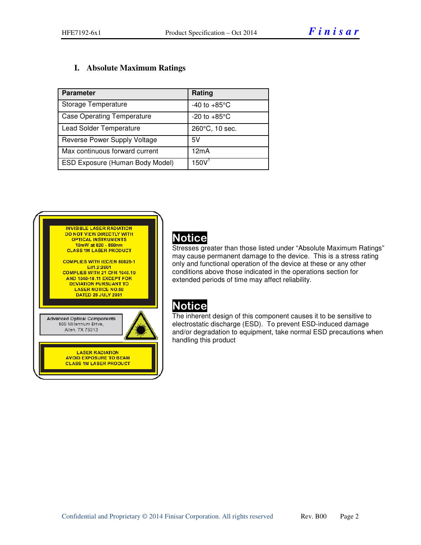#### **I. Absolute Maximum Ratings**

| <b>Parameter</b>                       | Rating                   |
|----------------------------------------|--------------------------|
| Storage Temperature                    | $-40$ to $+85^{\circ}$ C |
| <b>Case Operating Temperature</b>      | $-20$ to $+85^{\circ}$ C |
| <b>Lead Solder Temperature</b>         | 260°C, 10 sec.           |
| Reverse Power Supply Voltage           | 5V                       |
| Max continuous forward current         | 12mA                     |
| <b>ESD Exposure (Human Body Model)</b> | 150V                     |

| <b>INVISIBLE LASER RADIATION</b>                                               |  |
|--------------------------------------------------------------------------------|--|
| DO NOT VIEW DIRECTLY WITH                                                      |  |
| <b>OPTICAL INSTRUMENTS</b><br>10mW at 820 - 860nm                              |  |
| <b>CLASS 1M LASER PRODUCT</b>                                                  |  |
|                                                                                |  |
| <b>COMPLIES WITH IEC/EN 60825-1</b>                                            |  |
| Ed1.2:2001                                                                     |  |
| <b>COMPLIES WITH 21 CFR 1040.10</b>                                            |  |
| <b>AND 1040-10.11 EXCEPT FOR</b>                                               |  |
| <b>DEVIATION PURSUANT TO</b>                                                   |  |
| <b>LASER NOTICE NO.50</b>                                                      |  |
| DATED 26 JULY 2001                                                             |  |
|                                                                                |  |
|                                                                                |  |
| <b>Advanced Optical Components</b><br>600 Millennium Drive,<br>Allen, TX 75013 |  |
|                                                                                |  |
| <b>LASER RADIATION</b>                                                         |  |
| <b>AVOID EXPOSURE TO BEAM</b>                                                  |  |
| <b>CLASS 1M LASER PRODUCT</b>                                                  |  |
|                                                                                |  |
|                                                                                |  |
|                                                                                |  |

### Notice

Stresses greater than those listed under "Absolute Maximum Ratings" may cause permanent damage to the device. This is a stress rating only and functional operation of the device at these or any other conditions above those indicated in the operations section for extended periods of time may affect reliability.

## Notice

The inherent design of this component causes it to be sensitive to electrostatic discharge (ESD). To prevent ESD-induced damage and/or degradation to equipment, take normal ESD precautions when handling this product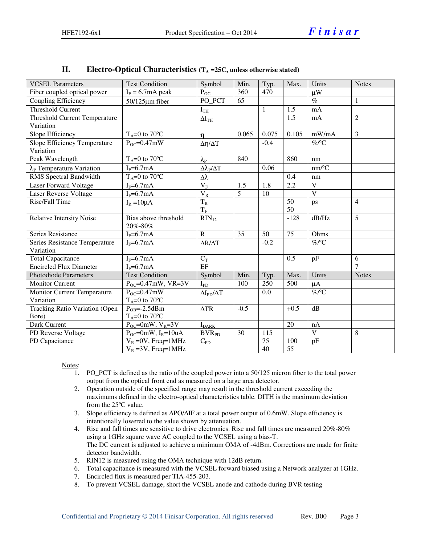| <b>VCSEL Parameters</b>                 | <b>Test Condition</b>               | Symbol                           | Min.           | Typ.         | Max.            | Units                   | <b>Notes</b>   |
|-----------------------------------------|-------------------------------------|----------------------------------|----------------|--------------|-----------------|-------------------------|----------------|
| Fiber coupled optical power             | $I_F = 6.7$ mA peak                 | $P_{OC}$                         | 360            | 470          |                 | $\mu$ W                 |                |
| Coupling Efficiency                     | $50/125 \mu m$ fiber                | PO_PCT                           | 65             |              |                 | $\overline{\%}$         | $\mathbf{1}$   |
| Threshold Current                       |                                     | I <sub>TH</sub>                  |                | $\mathbf{1}$ | 1.5             | mA                      |                |
| <b>Threshold Current Temperature</b>    |                                     | $\Delta I_{TH}$                  |                |              | 1.5             | mA                      | $\overline{2}$ |
| Variation                               |                                     |                                  |                |              |                 |                         |                |
| Slope Efficiency                        | $T_A=0$ to 70°C                     | $\eta$                           | 0.065          | 0.075        | 0.105           | mW/mA                   | $\overline{3}$ |
| Slope Efficiency Temperature            | $P_{OC} = 0.47$ mW                  | $\Delta \eta / \Delta T$         |                | $-0.4$       |                 | $%$ $C$                 |                |
| Variation                               |                                     |                                  |                |              |                 |                         |                |
| Peak Wavelength                         | $T_A=0$ to 70°C                     | $\lambda_{\rm P}$                | 840            |              | 860             | nm                      |                |
| $\lambda_{\rm P}$ Temperature Variation | $I_F = 6.7mA$                       | $\Delta\lambda_{\rm P}/\Delta T$ |                | 0.06         |                 | nm/°C                   |                |
| RMS Spectral Bandwidth                  | $T_A=0$ to 70°C                     | Δλ                               |                |              | 0.4             | nm                      |                |
| Laser Forward Voltage                   | $I_F=6.7mA$                         | $\rm V_F$                        | 1.5            | 1.8          | 2.2             | $\mathbf{V}$            |                |
| Laser Reverse Voltage                   | $I_F=6.7mA$                         | $\rm V_R$                        | $\overline{5}$ | 10           |                 | $\overline{\mathbf{V}}$ |                |
| Rise/Fall Time                          | $I_R = 10\mu A$                     | $\overline{T_R}$                 |                |              | 50              | ps                      | $\overline{4}$ |
|                                         |                                     | $T_{\rm F}$                      |                |              | 50              |                         |                |
| Relative Intensity Noise                | Bias above threshold<br>20%-80%     | $RIN_{12}$                       |                |              | $-128$          | dB/Hz                   | 5              |
| Series Resistance                       | $IF=6.7mA$                          | $\overline{R}$                   | 35             | 50           | $\overline{75}$ | Ohms                    |                |
| Series Resistance Temperature           | $I_F = 6.7mA$                       | $\Delta R/\Delta T$              |                | $-0.2$       |                 | $\overline{\%}$ /°C     |                |
| Variation                               |                                     |                                  |                |              |                 |                         |                |
| <b>Total Capacitance</b>                | $I_F=6.7mA$                         | $C_T$                            |                |              | 0.5             | pF                      | 6              |
| <b>Encircled Flux Diameter</b>          | $I_F=6.7mA$                         | EF                               |                |              |                 |                         | $\tau$         |
| <b>Photodiode Parameters</b>            | <b>Test Condition</b>               | Symbol                           | Min.           | Typ.         | Max.            | Units                   | <b>Notes</b>   |
| <b>Monitor Current</b>                  | $P_{OC} = 0.47$ mW, VR=3V           | $I_{PD}$                         | 100            | 250          | 500             | $\mu A$                 |                |
| <b>Monitor Current Temperature</b>      | $P_{OC} = 0.47$ mW                  | $\Delta I_{PD}/\Delta T$         |                | 0.0          |                 | $%$ $C$                 |                |
| Variation                               | $T_A=0$ to 70°C                     |                                  |                |              |                 |                         |                |
| Tracking Ratio Variation (Open          | $P_{OR} = -2.5dBm$                  | $\Delta TR$                      | $-0.5$         |              | $+0.5$          | dB                      |                |
| Bore)                                   | $T_A=0$ to 70°C                     |                                  |                |              |                 |                         |                |
| Dark Current                            | $P_{OC}$ =0mW, $V_R$ =3V            | $I_{\rm DARK}$                   |                |              | 20              | nA                      |                |
| PD Reverse Voltage                      | $P_{OC}$ =0mW, I <sub>R</sub> =10uA | <b>BVR<sub>PD</sub></b>          | 30             | 115          |                 | $\overline{\mathbf{V}}$ | 8              |
| PD Capacitance                          | $V_R = 0V$ , Freq=1MHz              | $C_{PD}$                         |                | 75           | 100             | pF                      |                |
|                                         | $V_R = 3V$ , Freq=1MHz              |                                  |                | 40           | 55              |                         |                |

#### **II.** Electro-Optical Characteristics  $(T_A = 25C$ , unless otherwise stated)

Notes:

- 1. PO\_PCT is defined as the ratio of the coupled power into a 50/125 micron fiber to the total power output from the optical front end as measured on a large area detector.
- 2. Operation outside of the specified range may result in the threshold current exceeding the maximums defined in the electro-optical characteristics table. DITH is the maximum deviation from the 25ºC value.
- 3. Slope efficiency is defined as ∆PO/∆IF at a total power output of 0.6mW. Slope efficiency is intentionally lowered to the value shown by attenuation.
- 4. Rise and fall times are sensitive to drive electronics. Rise and fall times are measured 20%-80% using a 1GHz square wave AC coupled to the VCSEL using a bias-T. The DC current is adjusted to achieve a minimum OMA of -4dBm. Corrections are made for finite detector bandwidth.
- 5. RIN12 is measured using the OMA technique with 12dB return.
- 6. Total capacitance is measured with the VCSEL forward biased using a Network analyzer at 1GHz.
- 7. Encircled flux is measured per TIA-455-203.
- 8. To prevent VCSEL damage, short the VCSEL anode and cathode during BVR testing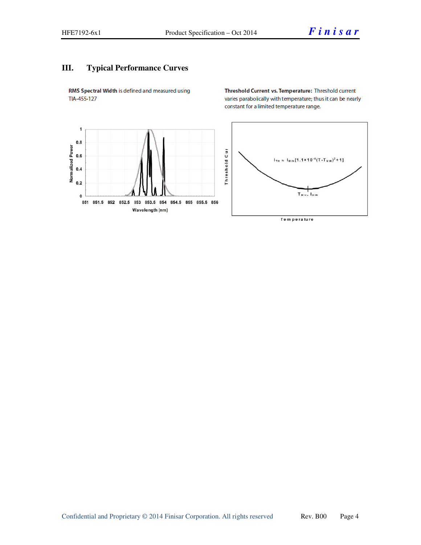#### **III. Typical Performance Curves**

RMS Spectral Width is defined and measured using TIA-455-127

Threshold Current vs. Temperature: Threshold current varies parabolically with temperature; thus it can be nearly constant for a limited temperature range.

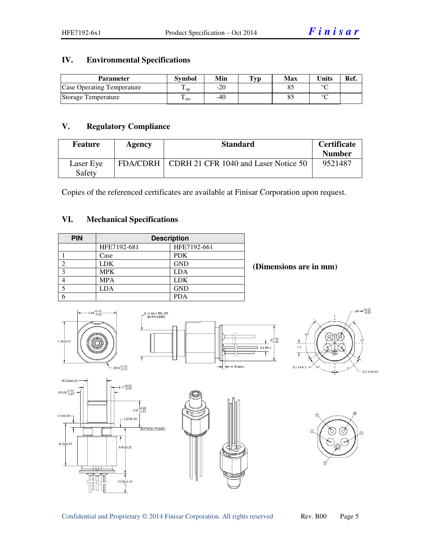#### **IV. Environmental Specifications**

| <b>Parameter</b>                  | <b>Symbol</b>          | Min | $\mathbf{Typ}$ | Max | <b>Units</b> | Ref. |
|-----------------------------------|------------------------|-----|----------------|-----|--------------|------|
| <b>Case Operating Temperature</b> | m<br>$\mathbf{L}$ op   | -20 |                |     | $\sim$       |      |
| Storage Temperature               | ᡣ<br>$\frac{1}{1}$ sto | -40 |                |     | $\sim$       |      |

#### **V. Regulatory Compliance**

| <b>Feature</b>      | Agency | <b>Standard</b>                                 | <b>Certificate</b><br><b>Number</b> |
|---------------------|--------|-------------------------------------------------|-------------------------------------|
| Laser Eye<br>Safety |        | FDA/CDRH   CDRH 21 CFR 1040 and Laser Notice 50 | 9521487                             |

Copies of the referenced certificates are available at Finisar Corporation upon request.

#### **VI. Mechanical Specifications**

| <b>PIN</b>    | <b>Description</b> |             |  |  |  |
|---------------|--------------------|-------------|--|--|--|
|               | HFE7192-681        | HFE7192-661 |  |  |  |
|               | Case               | <b>PDK</b>  |  |  |  |
| ◠             | <b>LDK</b>         | <b>GND</b>  |  |  |  |
| $\mathcal{R}$ | <b>MPK</b>         | <b>LDA</b>  |  |  |  |
|               | <b>MPA</b>         | <b>LDK</b>  |  |  |  |
|               | <b>LDA</b>         | <b>GND</b>  |  |  |  |
|               |                    | <b>PDA</b>  |  |  |  |

 **(Dimensions are in mm)** 

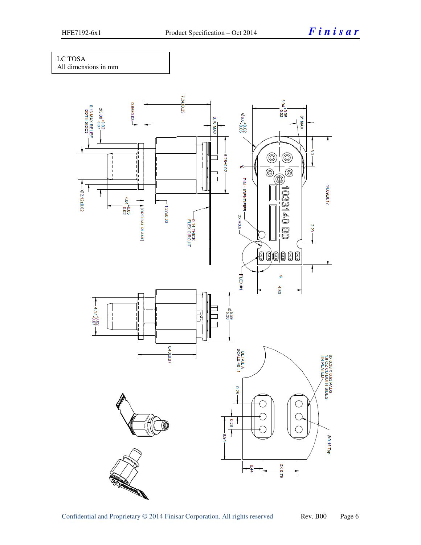#### LC TOSA

All dimensions in mm